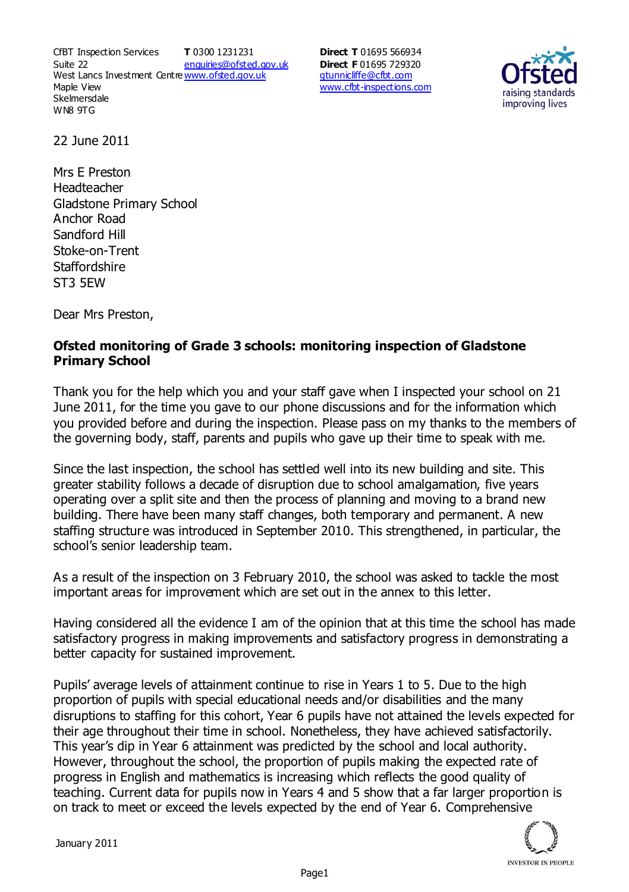CfBT Inspection Services Suite 22 West Lancs Investment Centre<u>www.ofsted.gov.uk</u> Maple View **Skelmersdale** WN8 9TG **T** 0300 1231231 enquiries@ofsted.gov.uk

**Direct T** 01695 566934 **Direct F** 01695 729320 gtunnicliffe@cfbt.com www.cfbt-inspections.com



22 June 2011

Mrs E Preston Headteacher Gladstone Primary School Anchor Road Sandford Hill Stoke-on-Trent **Staffordshire** ST3 5EW

Dear Mrs Preston,

## **Ofsted monitoring of Grade 3 schools: monitoring inspection of Gladstone Primary School**

Thank you for the help which you and your staff gave when I inspected your school on 21 June 2011, for the time you gave to our phone discussions and for the information which you provided before and during the inspection. Please pass on my thanks to the members of the governing body, staff, parents and pupils who gave up their time to speak with me.

Since the last inspection, the school has settled well into its new building and site. This greater stability follows a decade of disruption due to school amalgamation, five years operating over a split site and then the process of planning and moving to a brand new building. There have been many staff changes, both temporary and permanent. A new staffing structure was introduced in September 2010. This strengthened, in particular, the school's senior leadership team.

As a result of the inspection on 3 February 2010, the school was asked to tackle the most important areas for improvement which are set out in the annex to this letter.

Having considered all the evidence I am of the opinion that at this time the school has made satisfactory progress in making improvements and satisfactory progress in demonstrating a better capacity for sustained improvement.

Pupils' average levels of attainment continue to rise in Years 1 to 5. Due to the high proportion of pupils with special educational needs and/or disabilities and the many disruptions to staffing for this cohort, Year 6 pupils have not attained the levels expected for their age throughout their time in school. Nonetheless, they have achieved satisfactorily. This year's dip in Year 6 attainment was predicted by the school and local authority. However, throughout the school, the proportion of pupils making the expected rate of progress in English and mathematics is increasing which reflects the good quality of teaching. Current data for pupils now in Years 4 and 5 show that a far larger proportion is on track to meet or exceed the levels expected by the end of Year 6. Comprehensive

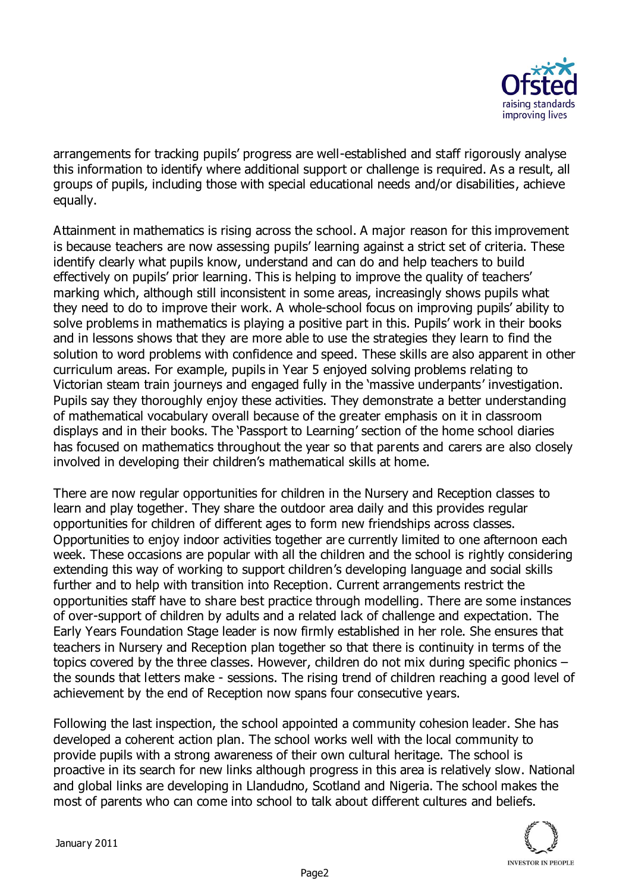

arrangements for tracking pupils' progress are well-established and staff rigorously analyse this information to identify where additional support or challenge is required. As a result, all groups of pupils, including those with special educational needs and/or disabilities, achieve equally.

Attainment in mathematics is rising across the school. A major reason for this improvement is because teachers are now assessing pupils' learning against a strict set of criteria. These identify clearly what pupils know, understand and can do and help teachers to build effectively on pupils' prior learning. This is helping to improve the quality of teachers' marking which, although still inconsistent in some areas, increasingly shows pupils what they need to do to improve their work. A whole-school focus on improving pupils' ability to solve problems in mathematics is playing a positive part in this. Pupils' work in their books and in lessons shows that they are more able to use the strategies they learn to find the solution to word problems with confidence and speed. These skills are also apparent in other curriculum areas. For example, pupils in Year 5 enjoyed solving problems relating to Victorian steam train journeys and engaged fully in the 'massive underpants' investigation. Pupils say they thoroughly enjoy these activities. They demonstrate a better understanding of mathematical vocabulary overall because of the greater emphasis on it in classroom displays and in their books. The 'Passport to Learning' section of the home school diaries has focused on mathematics throughout the year so that parents and carers are also closely involved in developing their children's mathematical skills at home.

There are now regular opportunities for children in the Nursery and Reception classes to learn and play together. They share the outdoor area daily and this provides regular opportunities for children of different ages to form new friendships across classes. Opportunities to enjoy indoor activities together are currently limited to one afternoon each week. These occasions are popular with all the children and the school is rightly considering extending this way of working to support children's developing language and social skills further and to help with transition into Reception. Current arrangements restrict the opportunities staff have to share best practice through modelling. There are some instances of over-support of children by adults and a related lack of challenge and expectation. The Early Years Foundation Stage leader is now firmly established in her role. She ensures that teachers in Nursery and Reception plan together so that there is continuity in terms of the topics covered by the three classes. However, children do not mix during specific phonics – the sounds that letters make - sessions. The rising trend of children reaching a good level of achievement by the end of Reception now spans four consecutive years.

Following the last inspection, the school appointed a community cohesion leader. She has developed a coherent action plan. The school works well with the local community to provide pupils with a strong awareness of their own cultural heritage. The school is proactive in its search for new links although progress in this area is relatively slow. National and global links are developing in Llandudno, Scotland and Nigeria. The school makes the most of parents who can come into school to talk about different cultures and beliefs.

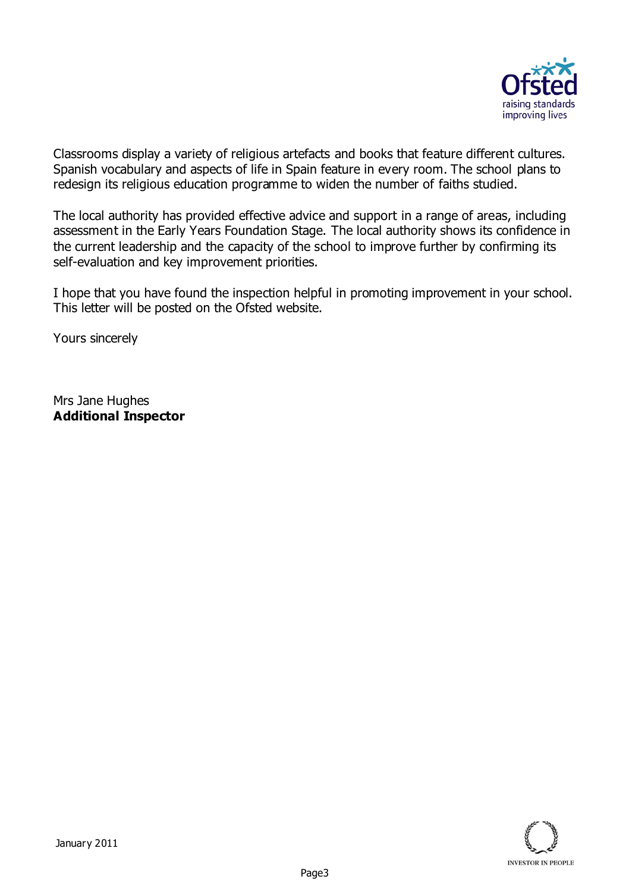

Classrooms display a variety of religious artefacts and books that feature different cultures. Spanish vocabulary and aspects of life in Spain feature in every room. The school plans to redesign its religious education programme to widen the number of faiths studied.

The local authority has provided effective advice and support in a range of areas, including assessment in the Early Years Foundation Stage. The local authority shows its confidence in the current leadership and the capacity of the school to improve further by confirming its self-evaluation and key improvement priorities.

I hope that you have found the inspection helpful in promoting improvement in your school. This letter will be posted on the Ofsted website.

Yours sincerely

Mrs Jane Hughes **Additional Inspector**